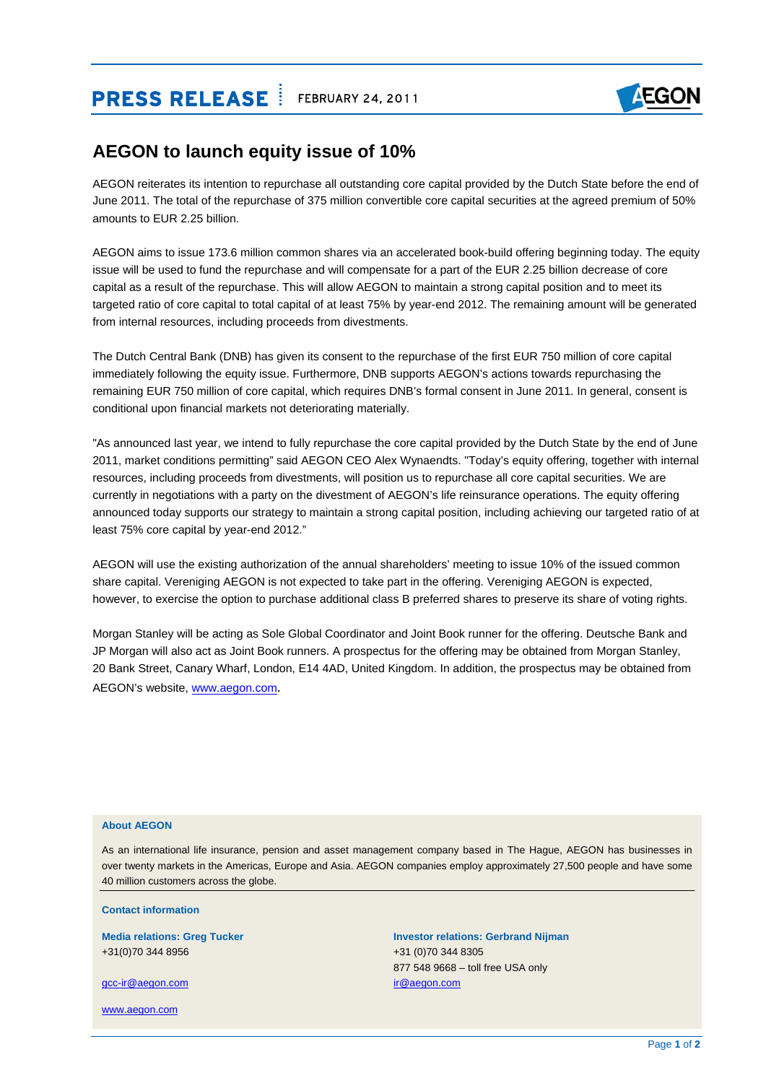## **PRESS RELEASE ELEASE FEBRUARY 24, 2011**



### **AEGON to launch equity issue of 10%**

AEGON reiterates its intention to repurchase all outstanding core capital provided by the Dutch State before the end of June 2011. The total of the repurchase of 375 million convertible core capital securities at the agreed premium of 50% amounts to EUR 2.25 billion.

AEGON aims to issue 173.6 million common shares via an accelerated book-build offering beginning today. The equity issue will be used to fund the repurchase and will compensate for a part of the EUR 2.25 billion decrease of core capital as a result of the repurchase. This will allow AEGON to maintain a strong capital position and to meet its targeted ratio of core capital to total capital of at least 75% by year-end 2012. The remaining amount will be generated from internal resources, including proceeds from divestments.

The Dutch Central Bank (DNB) has given its consent to the repurchase of the first EUR 750 million of core capital immediately following the equity issue. Furthermore, DNB supports AEGON's actions towards repurchasing the remaining EUR 750 million of core capital, which requires DNB's formal consent in June 2011. In general, consent is conditional upon financial markets not deteriorating materially.

"As announced last year, we intend to fully repurchase the core capital provided by the Dutch State by the end of June 2011, market conditions permitting" said AEGON CEO Alex Wynaendts. "Today's equity offering, together with internal resources, including proceeds from divestments, will position us to repurchase all core capital securities. We are currently in negotiations with a party on the divestment of AEGON's life reinsurance operations. The equity offering announced today supports our strategy to maintain a strong capital position, including achieving our targeted ratio of at least 75% core capital by year-end 2012."

AEGON will use the existing authorization of the annual shareholders' meeting to issue 10% of the issued common share capital. Vereniging AEGON is not expected to take part in the offering. Vereniging AEGON is expected, however, to exercise the option to purchase additional class B preferred shares to preserve its share of voting rights.

Morgan Stanley will be acting as Sole Global Coordinator and Joint Book runner for the offering. Deutsche Bank and JP Morgan will also act as Joint Book runners. A prospectus for the offering may be obtained from Morgan Stanley, 20 Bank Street, Canary Wharf, London, E14 4AD, United Kingdom. In addition, the prospectus may be obtained from AEGON's website, [www.aegon.com](http://www.aegon.com/).

### **About AEGON**

As an international life insurance, pension and asset management company based in The Hague, AEGON has businesses in over twenty markets in the Americas, Europe and Asia. AEGON companies employ approximately 27,500 people and have some 40 million customers across the globe.

**Contact information** 

+31(0)70 344 8956 +31 (0)70 344 8305

[gcc-ir@aegon.com](mailto:gcc-ir@aegon.com) in the community of the community of the community of the community of the community of the community of the community of the community of the community of the community of the community of the community o

[www.aegon.com](http://www.aegon.com/)

# **Media relations: Greg Tucker Investor relations: Gerbrand Nijman Investor relations: Gerbrand Nijman** 877 548 9668 – toll free USA only